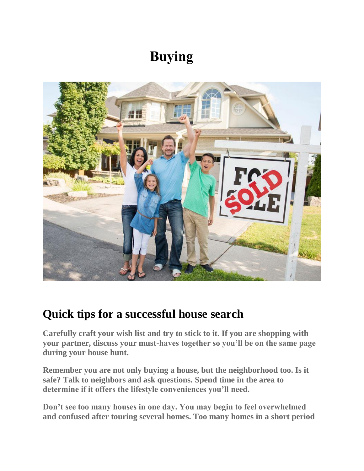# **Buying**



### **Quick tips for a successful house search**

**Carefully craft your wish list and try to stick to it. If you are shopping with your partner, discuss your must-haves together so you'll be on the same page during your house hunt.**

**Remember you are not only buying a house, but the neighborhood too. Is it safe? Talk to neighbors and ask questions. Spend time in the area to determine if it offers the lifestyle conveniences you'll need.**

**Don't see too many houses in one day. You may begin to feel overwhelmed and confused after touring several homes. Too many homes in a short period**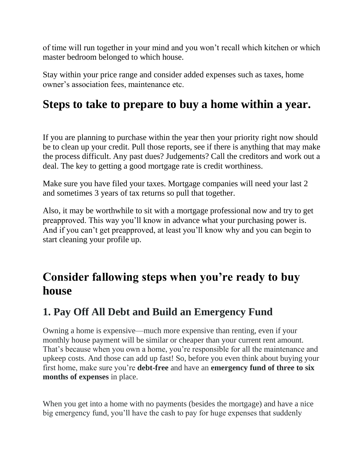of time will run together in your mind and you won't recall which kitchen or which master bedroom belonged to which house.

Stay within your price range and consider added expenses such as taxes, home owner's association fees, maintenance etc.

### **Steps to take to prepare to buy a home within a year.**

If you are planning to purchase within the year then your priority right now should be to clean up your credit. Pull those reports, see if there is anything that may make the process difficult. Any past dues? Judgements? Call the creditors and work out a deal. The key to getting a good mortgage rate is credit worthiness.

Make sure you have filed your taxes. Mortgage companies will need your last 2 and sometimes 3 years of tax returns so pull that together.

Also, it may be worthwhile to sit with a mortgage professional now and try to get preapproved. This way you'll know in advance what your purchasing power is. And if you can't get preapproved, at least you'll know why and you can begin to start cleaning your profile up.

### **Consider fallowing steps when you're ready to buy house**

#### **1. Pay Off All Debt and Build an Emergency Fund**

Owning a home is expensive—much more expensive than renting, even if your monthly house payment will be similar or cheaper than your current rent amount. That's because when you own a home, you're responsible for all the maintenance and upkeep costs. And those can add up fast! So, before you even think about buying your first home, make sure you're **debt-free** and have an **emergency fund of three to six months of expenses** in place.

When you get into a home with no payments (besides the mortgage) and have a nice big emergency fund, you'll have the cash to pay for huge expenses that suddenly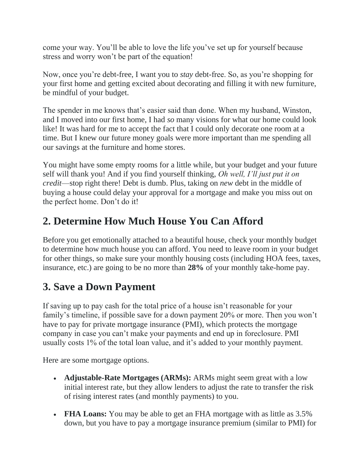come your way. You'll be able to love the life you've set up for yourself because stress and worry won't be part of the equation!

Now, once you're debt-free, I want you to *stay* debt-free. So, as you're shopping for your first home and getting excited about decorating and filling it with new furniture, be mindful of your budget.

The spender in me knows that's easier said than done. When my husband, Winston, and I moved into our first home, I had *so* many visions for what our home could look like! It was hard for me to accept the fact that I could only decorate one room at a time. But I knew our future money goals were more important than me spending all our savings at the furniture and home stores.

You might have some empty rooms for a little while, but your budget and your future self will thank you! And if you find yourself thinking, *Oh well, I'll just put it on credit*—stop right there! Debt is dumb. Plus, taking on *new* debt in the middle of buying a house could delay your approval for a mortgage and make you miss out on the perfect home. Don't do it!

### **2. Determine How Much House You Can Afford**

Before you get emotionally attached to a beautiful house, check your monthly budget to determine how much house you can afford. You need to leave room in your budget for other things, so make sure your monthly housing costs (including HOA fees, taxes, insurance, etc.) are going to be no more than **28%** of your monthly take-home pay.

### **3. Save a Down Payment**

If saving up to pay cash for the total price of a house isn't reasonable for your family's timeline, if possible save for a down payment 20% or more. Then you won't have to pay for private mortgage insurance (PMI), which protects the mortgage company in case you can't make your payments and end up in foreclosure. PMI usually costs 1% of the total loan value, and it's added to your monthly payment.

Here are some mortgage options.

- **Adjustable-Rate Mortgages (ARMs):** ARMs might seem great with a low initial interest rate, but they allow lenders to adjust the rate to transfer the risk of rising interest rates (and monthly payments) to you.
- **FHA Loans:** You may be able to get an FHA mortgage with as little as 3.5% down, but you have to pay a mortgage insurance premium (similar to PMI) for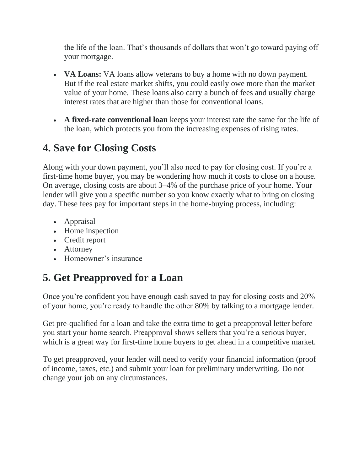the life of the loan. That's thousands of dollars that won't go toward paying off your mortgage.

- **VA Loans:** VA loans allow veterans to buy a home with no down payment. But if the real estate market shifts, you could easily owe more than the market value of your home. These loans also carry a bunch of fees and usually charge interest rates that are higher than those for conventional loans.
- **A fixed-rate conventional loan** keeps your interest rate the same for the life of the loan, which protects you from the increasing expenses of rising rates.

### **4. Save for Closing Costs**

Along with your down payment, you'll also need to pay for closing cost. If you're a first-time home buyer, you may be wondering how much it costs to close on a house. On average, closing costs are about 3–4% of the purchase price of your home. Your lender will give you a specific number so you know exactly what to bring on closing day. These fees pay for important steps in the home-buying process, including:

- Appraisal
- Home inspection
- Credit report
- Attorney
- Homeowner's insurance

# **5. Get Preapproved for a Loan**

Once you're confident you have enough cash saved to pay for closing costs and 20% of your home, you're ready to handle the other 80% by talking to a mortgage lender.

Get pre-qualified for a loan and take the extra time to get a preapproval letter before you start your home search. Preapproval shows sellers that you're a serious buyer, which is a great way for first-time home buyers to get ahead in a competitive market.

To get preapproved, your lender will need to verify your financial information (proof of income, taxes, etc.) and submit your loan for preliminary underwriting. Do not change your job on any circumstances.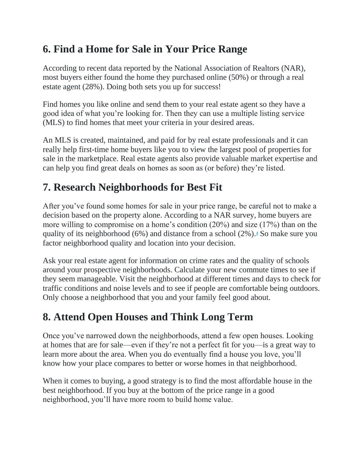### **6. Find a Home for Sale in Your Price Range**

According to recent data reported by the National Association of Realtors (NAR), most buyers either found the home they purchased online (50%) or through a real estate agent (28%). Doing both sets you up for success!

Find homes you like online and send them to your real estate agent so they have a good idea of what you're looking for. Then they can use a multiple listing service (MLS) to find homes that meet your criteria in your desired areas.

An MLS is created, maintained, and paid for by real estate professionals and it can really help first-time home buyers like you to view the largest pool of properties for sale in the marketplace. Real estate agents also provide valuable market expertise and can help you find great deals on homes as soon as (or before) they're listed.

### **7. Research Neighborhoods for Best Fit**

After you've found some homes for sale in your price range, be careful not to make a decision based on the property alone. According to a NAR survey, home buyers are more willing to compromise on a home's condition (20%) and size (17%) than on the quality of its neighborhood (6%) and distance from a school (2%)[.](https://www.nar.realtor/sites/default/files/documents/2019-home-buyer-and-seller-generational-trends-04-03-2019.pdf)<sup> $\pm$ </sup> So make sure you factor neighborhood quality and location into your decision.

Ask your real estate agent for information on crime rates and the quality of schools around your prospective neighborhoods. Calculate your new commute times to see if they seem manageable. Visit the neighborhood at different times and days to check for traffic conditions and noise levels and to see if people are comfortable being outdoors. Only choose a neighborhood that you and your family feel good about.

### **8. Attend Open Houses and Think Long Term**

Once you've narrowed down the neighborhoods, attend a few open houses. Looking at homes that are for sale—even if they're not a perfect fit for you—is a great way to learn more about the area. When you do eventually find a house you love, you'll know how your place compares to better or worse homes in that neighborhood.

When it comes to buying, a good strategy is to find the most affordable house in the best neighborhood. If you buy at the bottom of the price range in a good neighborhood, you'll have more room to build home value.